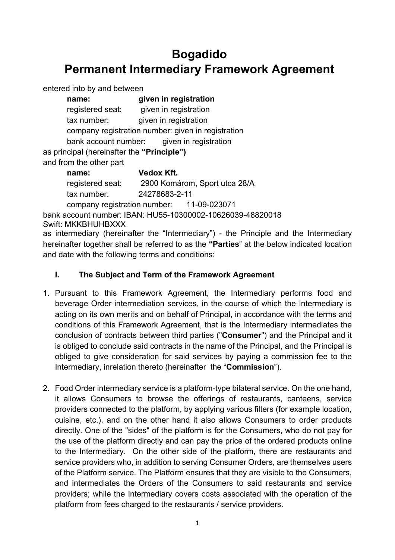# **Bogadido Permanent Intermediary Framework Agreement**

entered into by and between

| name:                                              | given in registration                      |
|----------------------------------------------------|--------------------------------------------|
| registered seat:                                   | given in registration                      |
| tax number:                                        | given in registration                      |
| company registration number: given in registration |                                            |
|                                                    | bank account number: given in registration |
| as principal (hereinafter the "Principle")         |                                            |
| and from the other part                            |                                            |
| name:                                              | Vedox Kft.                                 |
| .                                                  | $0.00017$ $(0.0018)$                       |

registered seat: 2900 Komárom, Sport utca 28/A tax number: 24278683-2-11

company registration number: 11-09-023071 bank account number: IBAN: HU55-10300002-10626039-48820018

Swift: MKKBHUHBXXX

as intermediary (hereinafter the "Intermediary") - the Principle and the Intermediary hereinafter together shall be referred to as the **"Parties**" at the below indicated location and date with the following terms and conditions:

#### **I. The Subject and Term of the Framework Agreement**

- 1. Pursuant to this Framework Agreement, the Intermediary performs food and beverage Order intermediation services, in the course of which the Intermediary is acting on its own merits and on behalf of Principal, in accordance with the terms and conditions of this Framework Agreement, that is the Intermediary intermediates the conclusion of contracts between third parties ("**Consumer**") and the Principal and it is obliged to conclude said contracts in the name of the Principal, and the Principal is obliged to give consideration for said services by paying a commission fee to the Intermediary, inrelation thereto (hereinafter the "**Commission**").
- 2. Food Order intermediary service is a platform-type bilateral service. On the one hand, it allows Consumers to browse the offerings of restaurants, canteens, service providers connected to the platform, by applying various filters (for example location, cuisine, etc.), and on the other hand it also allows Consumers to order products directly. One of the "sides" of the platform is for the Consumers, who do not pay for the use of the platform directly and can pay the price of the ordered products online to the Intermediary. On the other side of the platform, there are restaurants and service providers who, in addition to serving Consumer Orders, are themselves users of the Platform service. The Platform ensures that they are visible to the Consumers, and intermediates the Orders of the Consumers to said restaurants and service providers; while the Intermediary covers costs associated with the operation of the platform from fees charged to the restaurants / service providers.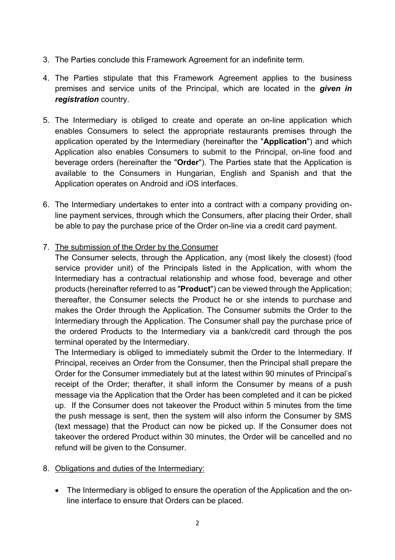- 3. The Parties conclude this Framework Agreement for an indefinite term.
- 4. The Parties stipulate that this Framework Agreement applies to the business premises and service units of the Principal, which are located in the *given in registration* country.
- 5. The Intermediary is obliged to create and operate an on-line application which enables Consumers to select the appropriate restaurants premises through the application operated by the Intermediary (hereinafter the "**Application**") and which Application also enables Consumers to submit to the Principal, on-line food and beverage orders (hereinafter the "**Order**"). The Parties state that the Application is available to the Consumers in Hungarian, English and Spanish and that the Application operates on Android and iOS interfaces.
- 6. The Intermediary undertakes to enter into a contract with a company providing online payment services, through which the Consumers, after placing their Order, shall be able to pay the purchase price of the Order on-line via a credit card payment.
- 7. The submission of the Order by the Consumer

The Consumer selects, through the Application, any (most likely the closest) (food service provider unit) of the Principals listed in the Application, with whom the Intermediary has a contractual relationship and whose food, beverage and other products (hereinafter referred to as "**Product**") can be viewed through the Application; thereafter, the Consumer selects the Product he or she intends to purchase and makes the Order through the Application. The Consumer submits the Order to the Intermediary through the Application. The Consumer shall pay the purchase price of the ordered Products to the Intermediary via a bank/credit card through the pos terminal operated by the Intermediary.

The Intermediary is obliged to immediately submit the Order to the Intermediary. If Principal, receives an Order from the Consumer, then the Principal shall prepare the Order for the Consumer immediately but at the latest within 90 minutes of Principal's receipt of the Order; therafter, it shall inform the Consumer by means of a push message via the Application that the Order has been completed and it can be picked up. If the Consumer does not takeover the Product within 5 minutes from the time the push message is sent, then the system will also inform the Consumer by SMS (text message) that the Product can now be picked up. If the Consumer does not takeover the ordered Product within 30 minutes, the Order will be cancelled and no refund will be given to the Consumer.

- 8. Obligations and duties of the Intermediary:
	- The Intermediary is obliged to ensure the operation of the Application and the online interface to ensure that Orders can be placed.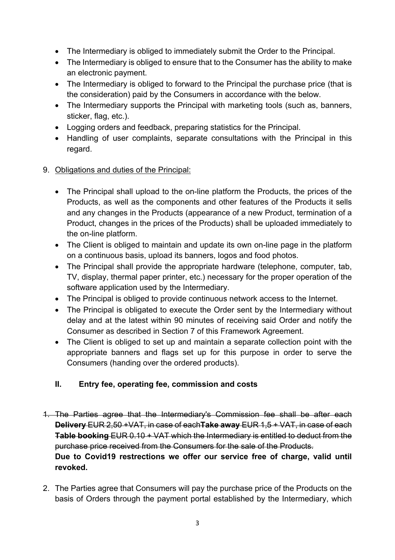- The Intermediary is obliged to immediately submit the Order to the Principal.
- The Intermediary is obliged to ensure that to the Consumer has the ability to make an electronic payment.
- The Intermediary is obliged to forward to the Principal the purchase price (that is the consideration) paid by the Consumers in accordance with the below.
- The Intermediary supports the Principal with marketing tools (such as, banners, sticker, flag, etc.).
- Logging orders and feedback, preparing statistics for the Principal.
- Handling of user complaints, separate consultations with the Principal in this regard.
- 9. Obligations and duties of the Principal:
	- The Principal shall upload to the on-line platform the Products, the prices of the Products, as well as the components and other features of the Products it sells and any changes in the Products (appearance of a new Product, termination of a Product, changes in the prices of the Products) shall be uploaded immediately to the on-line platform.
	- The Client is obliged to maintain and update its own on-line page in the platform on a continuous basis, upload its banners, logos and food photos.
	- The Principal shall provide the appropriate hardware (telephone, computer, tab, TV, display, thermal paper printer, etc.) necessary for the proper operation of the software application used by the Intermediary.
	- The Principal is obliged to provide continuous network access to the Internet.
	- The Principal is obligated to execute the Order sent by the Intermediary without delay and at the latest within 90 minutes of receiving said Order and notify the Consumer as described in Section 7 of this Framework Agreement.
	- The Client is obliged to set up and maintain a separate collection point with the appropriate banners and flags set up for this purpose in order to serve the Consumers (handing over the ordered products).

## **II. Entry fee, operating fee, commission and costs**

- 1. The Parties agree that the Intermediary's Commission fee shall be after each **Delivery** EUR 2,50 +VAT, in case of each**Take away** EUR 1,5 + VAT, in case of each **Table booking** EUR 0.10 + VAT which the Intermediary is entitled to deduct from the purchase price received from the Consumers for the sale of the Products. **Due to Covid19 restrections we offer our service free of charge, valid until revoked.**
- 2. The Parties agree that Consumers will pay the purchase price of the Products on the basis of Orders through the payment portal established by the Intermediary, which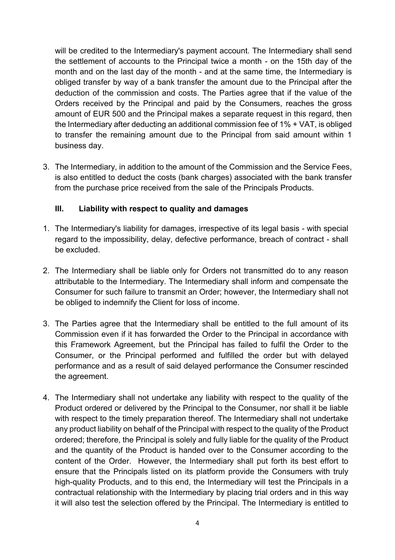will be credited to the Intermediary's payment account. The Intermediary shall send the settlement of accounts to the Principal twice a month - on the 15th day of the month and on the last day of the month - and at the same time, the Intermediary is obliged transfer by way of a bank transfer the amount due to the Principal after the deduction of the commission and costs. The Parties agree that if the value of the Orders received by the Principal and paid by the Consumers, reaches the gross amount of EUR 500 and the Principal makes a separate request in this regard, then the Intermediary after deducting an additional commission fee of 1% + VAT, is obliged to transfer the remaining amount due to the Principal from said amount within 1 business day.

3. The Intermediary, in addition to the amount of the Commission and the Service Fees, is also entitled to deduct the costs (bank charges) associated with the bank transfer from the purchase price received from the sale of the Principals Products.

#### **III. Liability with respect to quality and damages**

- 1. The Intermediary's liability for damages, irrespective of its legal basis with special regard to the impossibility, delay, defective performance, breach of contract - shall be excluded.
- 2. The Intermediary shall be liable only for Orders not transmitted do to any reason attributable to the Intermediary. The Intermediary shall inform and compensate the Consumer for such failure to transmit an Order; however, the Intermediary shall not be obliged to indemnify the Client for loss of income.
- 3. The Parties agree that the Intermediary shall be entitled to the full amount of its Commission even if it has forwarded the Order to the Principal in accordance with this Framework Agreement, but the Principal has failed to fulfil the Order to the Consumer, or the Principal performed and fulfilled the order but with delayed performance and as a result of said delayed performance the Consumer rescinded the agreement.
- 4. The Intermediary shall not undertake any liability with respect to the quality of the Product ordered or delivered by the Principal to the Consumer, nor shall it be liable with respect to the timely preparation thereof. The Intermediary shall not undertake any product liability on behalf of the Principal with respect to the quality of the Product ordered; therefore, the Principal is solely and fully liable for the quality of the Product and the quantity of the Product is handed over to the Consumer according to the content of the Order. However, the Intermediary shall put forth its best effort to ensure that the Principals listed on its platform provide the Consumers with truly high-quality Products, and to this end, the Intermediary will test the Principals in a contractual relationship with the Intermediary by placing trial orders and in this way it will also test the selection offered by the Principal. The Intermediary is entitled to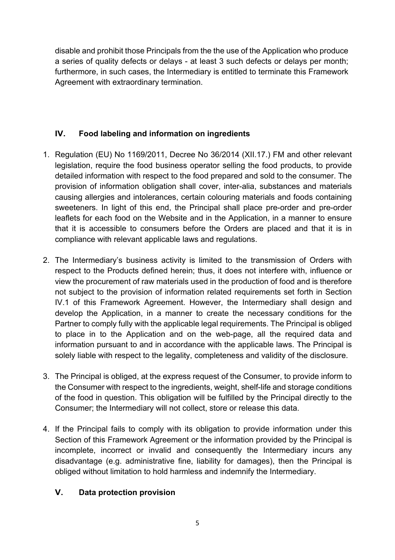disable and prohibit those Principals from the the use of the Application who produce a series of quality defects or delays - at least 3 such defects or delays per month; furthermore, in such cases, the Intermediary is entitled to terminate this Framework Agreement with extraordinary termination.

## **IV. Food labeling and information on ingredients**

- 1. Regulation (EU) No 1169/2011, Decree No 36/2014 (XII.17.) FM and other relevant legislation, require the food business operator selling the food products, to provide detailed information with respect to the food prepared and sold to the consumer. The provision of information obligation shall cover, inter-alia, substances and materials causing allergies and intolerances, certain colouring materials and foods containing sweeteners. In light of this end, the Principal shall place pre-order and pre-order leaflets for each food on the Website and in the Application, in a manner to ensure that it is accessible to consumers before the Orders are placed and that it is in compliance with relevant applicable laws and regulations.
- 2. The Intermediary's business activity is limited to the transmission of Orders with respect to the Products defined herein; thus, it does not interfere with, influence or view the procurement of raw materials used in the production of food and is therefore not subject to the provision of information related requirements set forth in Section IV.1 of this Framework Agreement. However, the Intermediary shall design and develop the Application, in a manner to create the necessary conditions for the Partner to comply fully with the applicable legal requirements. The Principal is obliged to place in to the Application and on the web-page, all the required data and information pursuant to and in accordance with the applicable laws. The Principal is solely liable with respect to the legality, completeness and validity of the disclosure.
- 3. The Principal is obliged, at the express request of the Consumer, to provide inform to the Consumer with respect to the ingredients, weight, shelf-life and storage conditions of the food in question. This obligation will be fulfilled by the Principal directly to the Consumer; the Intermediary will not collect, store or release this data.
- 4. If the Principal fails to comply with its obligation to provide information under this Section of this Framework Agreement or the information provided by the Principal is incomplete, incorrect or invalid and consequently the Intermediary incurs any disadvantage (e.g. administrative fine, liability for damages), then the Principal is obliged without limitation to hold harmless and indemnify the Intermediary.

#### **V. Data protection provision**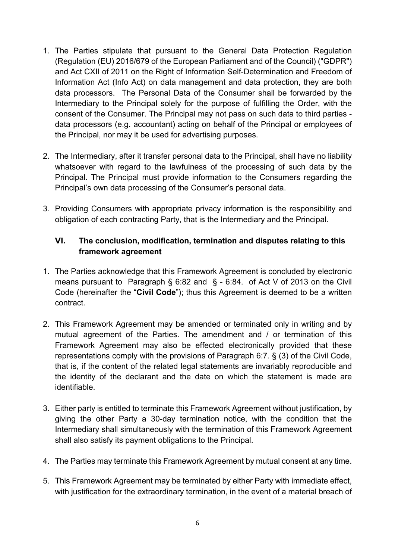- 1. The Parties stipulate that pursuant to the General Data Protection Regulation (Regulation (EU) 2016/679 of the European Parliament and of the Council) ("GDPR") and Act CXII of 2011 on the Right of Information Self-Determination and Freedom of Information Act (Info Act) on data management and data protection, they are both data processors. The Personal Data of the Consumer shall be forwarded by the Intermediary to the Principal solely for the purpose of fulfilling the Order, with the consent of the Consumer. The Principal may not pass on such data to third parties data processors (e.g. accountant) acting on behalf of the Principal or employees of the Principal, nor may it be used for advertising purposes.
- 2. The Intermediary, after it transfer personal data to the Principal, shall have no liability whatsoever with regard to the lawfulness of the processing of such data by the Principal. The Principal must provide information to the Consumers regarding the Principal's own data processing of the Consumer's personal data.
- 3. Providing Consumers with appropriate privacy information is the responsibility and obligation of each contracting Party, that is the Intermediary and the Principal.

### **VI. The conclusion, modification, termination and disputes relating to this framework agreement**

- 1. The Parties acknowledge that this Framework Agreement is concluded by electronic means pursuant to Paragraph § 6:82 and § - 6:84. of Act V of 2013 on the Civil Code (hereinafter the "**Civil Code**"); thus this Agreement is deemed to be a written contract.
- 2. This Framework Agreement may be amended or terminated only in writing and by mutual agreement of the Parties. The amendment and / or termination of this Framework Agreement may also be effected electronically provided that these representations comply with the provisions of Paragraph 6:7. § (3) of the Civil Code, that is, if the content of the related legal statements are invariably reproducible and the identity of the declarant and the date on which the statement is made are identifiable.
- 3. Either party is entitled to terminate this Framework Agreement without justification, by giving the other Party a 30-day termination notice, with the condition that the Intermediary shall simultaneously with the termination of this Framework Agreement shall also satisfy its payment obligations to the Principal.
- 4. The Parties may terminate this Framework Agreement by mutual consent at any time.
- 5. This Framework Agreement may be terminated by either Party with immediate effect, with justification for the extraordinary termination, in the event of a material breach of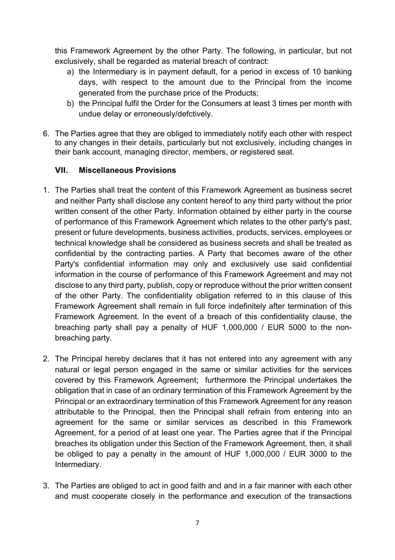this Framework Agreement by the other Party. The following, in particular, but not exclusively, shall be regarded as material breach of contract:

- a) the Intermediary is in payment default, for a period in excess of 10 banking days, with respect to the amount due to the Principal from the income generated from the purchase price of the Products;
- b) the Principal fulfil the Order for the Consumers at least 3 times per month with undue delay or erroneously/defctively.
- 6. The Parties agree that they are obliged to immediately notify each other with respect to any changes in their details, particularly but not exclusively, including changes in their bank account, managing director, members, or registered seat.

#### **VII. Miscellaneous Provisions**

- 1. The Parties shall treat the content of this Framework Agreement as business secret and neither Party shall disclose any content hereof to any third party without the prior written consent of the other Party. Information obtained by either party in the course of performance of this Framework Agreement which relates to the other party's past, present or future developments, business activities, products, services, employees or technical knowledge shall be considered as business secrets and shall be treated as confidential by the contracting parties. A Party that becomes aware of the other Party's confidential information may only and exclusively use said confidential information in the course of performance of this Framework Agreement and may not disclose to any third party, publish, copy or reproduce without the prior written consent of the other Party. The confidentiality obligation referred to in this clause of this Framework Agreement shall remain in full force indefinitely after termination of this Framework Agreement. In the event of a breach of this confidentiality clause, the breaching party shall pay a penalty of HUF 1,000,000 / EUR 5000 to the nonbreaching party.
- 2. The Principal hereby declares that it has not entered into any agreement with any natural or legal person engaged in the same or similar activities for the services covered by this Framework Agreement; furthermore the Principal undertakes the obligation that in case of an ordinary termination of this Framework Agreement by the Principal or an extraordinary termination of this Framework Agreement for any reason attributable to the Principal, then the Principal shall refrain from entering into an agreement for the same or similar services as described in this Framework Agreement, for a period of at least one year. The Parties agree that if the Principal breaches its obligation under this Section of the Framework Agreement, then, it shall be obliged to pay a penalty in the amount of HUF 1,000,000 / EUR 3000 to the Intermediary.
- 3. The Parties are obliged to act in good faith and and in a fair manner with each other and must cooperate closely in the performance and execution of the transactions